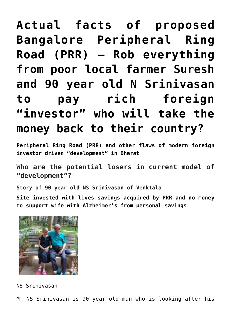# **[Actual facts of proposed](https://aryadharma.world/bharat/the-silly-con-city/actual-facts-of-proposed-bangalore-peripheral-ring-road-prr-rob-everything-from-poor-local-suresh-and-90-year-old-n-srinivasan-to-pay-rich-foreign-investor-symba-levi/) [Bangalore Peripheral Ring](https://aryadharma.world/bharat/the-silly-con-city/actual-facts-of-proposed-bangalore-peripheral-ring-road-prr-rob-everything-from-poor-local-suresh-and-90-year-old-n-srinivasan-to-pay-rich-foreign-investor-symba-levi/) [Road \(PRR\) — Rob everything](https://aryadharma.world/bharat/the-silly-con-city/actual-facts-of-proposed-bangalore-peripheral-ring-road-prr-rob-everything-from-poor-local-suresh-and-90-year-old-n-srinivasan-to-pay-rich-foreign-investor-symba-levi/) [from poor local farmer Suresh](https://aryadharma.world/bharat/the-silly-con-city/actual-facts-of-proposed-bangalore-peripheral-ring-road-prr-rob-everything-from-poor-local-suresh-and-90-year-old-n-srinivasan-to-pay-rich-foreign-investor-symba-levi/) [and 90 year old N Srinivasan](https://aryadharma.world/bharat/the-silly-con-city/actual-facts-of-proposed-bangalore-peripheral-ring-road-prr-rob-everything-from-poor-local-suresh-and-90-year-old-n-srinivasan-to-pay-rich-foreign-investor-symba-levi/) [to pay rich foreign](https://aryadharma.world/bharat/the-silly-con-city/actual-facts-of-proposed-bangalore-peripheral-ring-road-prr-rob-everything-from-poor-local-suresh-and-90-year-old-n-srinivasan-to-pay-rich-foreign-investor-symba-levi/) ["investor" who will take the](https://aryadharma.world/bharat/the-silly-con-city/actual-facts-of-proposed-bangalore-peripheral-ring-road-prr-rob-everything-from-poor-local-suresh-and-90-year-old-n-srinivasan-to-pay-rich-foreign-investor-symba-levi/) [money back to their country?](https://aryadharma.world/bharat/the-silly-con-city/actual-facts-of-proposed-bangalore-peripheral-ring-road-prr-rob-everything-from-poor-local-suresh-and-90-year-old-n-srinivasan-to-pay-rich-foreign-investor-symba-levi/)**

**Peripheral Ring Road (PRR) and other flaws of modern foreign investor driven "development" in Bharat**

**Who are the potential losers in current model of "development"?**

**Story of 90 year old NS Srinivasan of Venktala**

**Site invested with lives savings acquired by PRR and no money to support wife with Alzheimer's from personal savings**



NS Srinivasan

Mr NS Srinivasan is 90 year old man who is looking after his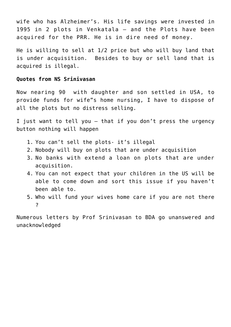wife who has Alzheimer's. His life savings were invested in 1995 in 2 plots in Venkatala – and the Plots have been acquired for the PRR. He is in dire need of money.

He is willing to sell at 1/2 price but who will buy land that is under acquisition. Besides to buy or sell land that is acquired is illegal.

#### **Quotes from NS Srinivasan**

Now nearing 90 with daughter and son settled in USA, to provide funds for wife"s home nursing, I have to dispose of all the plots but no distress selling.

I just want to tell you – that if you don't press the urgency button nothing will happen

- 1. You can't sell the plots- it's illegal
- 2. Nobody will buy on plots that are under acquisition
- 3. No banks with extend a loan on plots that are under acquisition.
- 4. You can not expect that your children in the US will be able to come down and sort this issue if you haven't been able to.
- 5. Who will fund your wives home care if you are not there ?

Numerous letters by Prof Srinivasan to BDA go unanswered and unacknowledged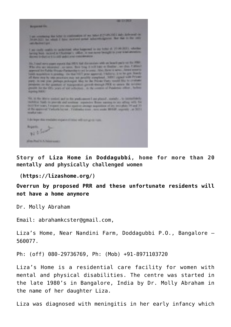| 49-14039-1<br>No. of Lot, House, etc.,                                                                                                                                                                                                                                                                                                                                                                                                                                                                  |  |
|---------------------------------------------------------------------------------------------------------------------------------------------------------------------------------------------------------------------------------------------------------------------------------------------------------------------------------------------------------------------------------------------------------------------------------------------------------------------------------------------------------|--|
| I am accelering the butter or continuous of my holes a create high andy defensed on the product in the control of<br>and Automobile                                                                                                                                                                                                                                                                                                                                                                     |  |
| I we needly benefits to understand what happened we see believ at 100 M/LEC whether<br>larving book recovered by Chantonsen's collect, in that move fountages to post \$100 profession.<br>Brown in-Sucha will be sell and a sold consideration.                                                                                                                                                                                                                                                        |  |
| lin, I and were plant errors that 50% had discussions with an level party on the 1980.<br>Who also not interested , my news, then being it will have to finalize , on then, Californ's<br>approved the Fushing Hispanic Particulate to you be press. After Bolto is named, haven't enter the                                                                                                                                                                                                            |  |
| lands magnitude to presting : the that NET prior approval. I holives, is as for part, financy.<br>all there are by the processes and not provide anaphrod. SHOT regard with Pricers<br>planty. In one your partners probasing the stay for the Pricese Planty would blue to construct<br>perspects at the quarties of managerities geneals through PRK to prove the northern<br>pearls for the fifty pears of use actionists. At the content of Pandersky effect, before<br><b>Significant Property</b> |  |
| 50, it to some under sell in the pedi-mont I are planet , somely , to investigate<br>mobilize had, is percell and crokess, expander those surving to any affing with fire<br>third fire years. I expect you excel space to design superintent of any territorial 20 and 23<br>of the separated Yurkath Layner, Yurkatha trans. and public 90-MP, separate  at 307.0<br><b>American Control</b><br>.                                                                                                     |  |
| I do topo dia maliaisi ingananchiasi wili sol gold nati-                                                                                                                                                                                                                                                                                                                                                                                                                                                |  |
| Nichols<br><b>Hilling Photo St. A. Andrew program</b>                                                                                                                                                                                                                                                                                                                                                                                                                                                   |  |

**Story of [Liza Home in Doddagubbi,](https://lizashome.org/about.html) home for more than 20 mentally and physically challenged women**

 **([https://lizashome.org/\)](https://lizashome.org/)**

**Overrun by proposed PRR and these unfortunate residents will not have a home anymore**

Dr. Molly Abraham

Email: [abrahamkcster@gmail.com](mailto:abrahamkcster@gmail.com),

Liza's Home, Near Nandini Farm, Doddagubbi P.O., Bangalore – 560077.

Ph: (off) 080-29736769, Ph: (Mob) +91-8971103720

Liza's Home is a residential care facility for women with mental and physical disabilities. The centre was started in the late 1980's in Bangalore, India by Dr. Molly Abraham in the name of her daughter Liza.

Liza was diagnosed with meningitis in her early infancy which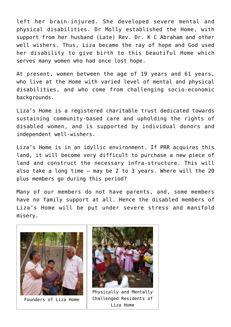left her brain-injured. She developed severe mental and physical disabilities. Dr Molly established the Home, with support from her husband (Late) Rev. Dr. K C Abraham and other well wishers. Thus, Liza became the ray of hope and God used her disability to give birth to this beautiful Home which serves many women who had once lost hope.

At present, women between the age of 19 years and 61 years, who live at the Home with varied level of mental and physical disabilities, and who come from challenging socio-economic backgrounds.

Liza's Home is a registered charitable trust dedicated towards sustaining community-based care and upholding the rights of disabled women, and is supported by individual donors and independent well-wishers.

Liza's Home is in an idyllic environment. If PRR acquires this land, it will become very difficult to purchase a new piece of land and construct the necessary infra-structure. This will also take a long time – may be 2 to 3 years. Where will the 20 plus members go during this period?

Many of our members do not have parents, and, some members have no family support at all. Hence the disabled members of Liza's Home will be put under severe stress and manifold misery.



Founders of Liza Home



Physically and Mentally Challenged Residents of Liza Home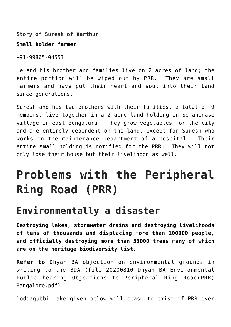**Story of Suresh of Varthur**

#### **Small holder farmer**

+91-99865-04553

He and his brother and families live on 2 acres of land; the entire portion will be wiped out by PRR. They are small farmers and have put their heart and soul into their land since generations.

Suresh and his two brothers with their families, a total of 9 members, live together in a 2 acre land holding in Sorahinase village in east Bengaluru. They grow vegetables for the city and are entirely dependent on the land, except for Suresh who works in the maintenance department of a hospital. Their entire small holding is notified for the PRR. They will not only lose their house but their livelihood as well.

# **Problems with the Peripheral Ring Road (PRR)**

#### **Environmentally a disaster**

**Destroying lakes, stormwater drains and destroying livelihoods of tens of thousands and displacing more than 100000 people, and officially destroying more than 33000 trees many of which are on the heritage biodiversity list.**

**Refer to** [Dhyan BA objection on environmental grounds in](https://drive.google.com/file/d/1DoBGWBA_NK4yGXYW8AiLlWjN7ppgmEiZ/view?usp=sharing) [writing to the BDA](https://drive.google.com/file/d/1DoBGWBA_NK4yGXYW8AiLlWjN7ppgmEiZ/view?usp=sharing) (file 20200810 Dhyan BA Environmental Public hearing Objections to Peripheral Ring Road(PRR) Bangalore.pdf).

Doddagubbi Lake given below will cease to exist if PRR ever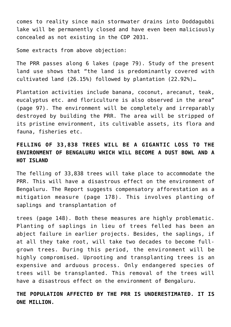comes to reality since main stormwater drains into Doddagubbi lake will be permanently closed and have even been [maliciously](https://drive.google.com/file/d/1DoBGWBA_NK4yGXYW8AiLlWjN7ppgmEiZ/view?usp=sharing) [concealed as not existing in the CDP 2031.](https://drive.google.com/file/d/1DoBGWBA_NK4yGXYW8AiLlWjN7ppgmEiZ/view?usp=sharing)

Some extracts from above objection:

The PRR passes along 6 lakes (page 79). Study of the present land use shows that "the land is predominantly covered with cultivated land (26.15%) followed by plantation (22.92%)…

Plantation activities include banana, coconut, arecanut, teak, eucalyptus etc. and floriculture is also observed in the area" (page 97). The environment will be completely and irreparably destroyed by building the PRR. The area will be stripped of its pristine environment, its cultivable assets, its flora and fauna, fisheries etc.

#### **FELLING OF 33,838 TREES WILL BE A GIGANTIC LOSS TO THE ENVIRONMENT OF BENGALURU WHICH WILL BECOME A DUST BOWL AND A HOT ISLAND**

The felling of 33,838 trees will take place to accommodate the PRR. This will have a disastrous effect on the environment of Bengaluru. The Report suggests compensatory afforestation as a mitigation measure (page 178). This involves planting of saplings and transplantation of

trees (page 148). Both these measures are highly problematic. Planting of saplings in lieu of trees felled has been an abject failure in earlier projects. Besides, the saplings, if at all they take root, will take two decades to become fullgrown trees. During this period, the environment will be highly compromised. Uprooting and transplanting trees is an expensive and arduous process. Only endangered species of trees will be transplanted. This removal of the trees will have a disastrous effect on the environment of Bengaluru.

**THE POPULATION AFFECTED BY THE PRR IS UNDERESTIMATED. IT IS ONE MILLION.**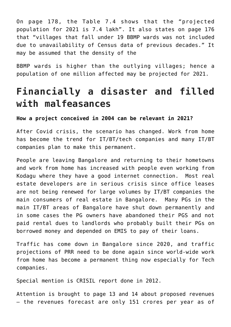On page 178, the Table 7.4 shows that the "projected population for 2021 is 7.4 lakh". It also states on page 176 that "villages that fall under 19 BBMP wards was not included due to unavailability of Census data of previous decades." It may be assumed that the density of the

BBMP wards is higher than the outlying villages; hence a population of one million affected may be projected for 2021.

#### **Financially a disaster and filled with malfeasances**

**How a project conceived in 2004 can be relevant in 2021?**

After Covid crisis, the scenario has changed. Work from home has become the trend for IT/BT/tech companies and many IT/BT companies plan to make this permanent.

People are leaving Bangalore and returning to their hometowns and work from home has increased with people even working from Kodagu where they have a good internet connection. Most real estate developers are in serious crisis since office leases are not being renewed for large volumes by IT/BT companies the main consumers of real estate in Bangalore. Many PGs in the main IT/BT areas of Bangalore have shut down permanently and in some cases the PG owners have abandoned their PGS and not paid rental dues to landlords who probably built their PGs on borrowed money and depended on EMIS to pay of their loans.

Traffic has come down in Bangalore since 2020, and traffic projections of PRR need to be done again since world-wide work from home has become a permanent thing now especially for Tech companies.

Special mention is [CRISIL report done in 2012.](https://drive.google.com/file/d/12RTl6_qsVUQbU-JYJHc4vLa4tp1W1Hnn/view?usp=sharing)

Attention is brought to page 13 and 14 about proposed revenues — the revenues forecast are only 151 crores per year as of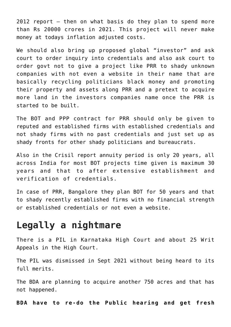2012 report — then on what basis do they plan to spend more than Rs 20000 crores in 2021. This project will never make money at todays inflation adjusted costs.

We should also bring up proposed global "investor" and ask court to order inquiry into credentials and also ask court to order govt not to give a project like PRR to shady unknown companies with not even a website in their name that are basically recycling politicians black money and promoting their property and assets along PRR and a pretext to acquire more land in the investors companies name once the PRR is started to be built.

The BOT and PPP contract for PRR should only be given to reputed and established firms with established credentials and not shady firms with no past credentials and just set up as shady fronts for other shady politicians and bureaucrats.

Also in the Crisil report annuity period is only 20 years, all across India for most BOT projects time given is maximum 30 years and that to after extensive establishment and verification of credentials.

In case of PRR, Bangalore they plan BOT for 50 years and that to shady recently established firms with no financial strength or established credentials or not even a website.

#### **Legally a nightmare**

There is a PIL in Karnataka High Court and about 25 Writ Appeals in the High Court.

The PIL was dismissed in Sept 2021 without being heard to its full merits.

The BDA are planning to acquire another 750 acres and that has not happened.

**BDA have to re-do the Public hearing and get fresh**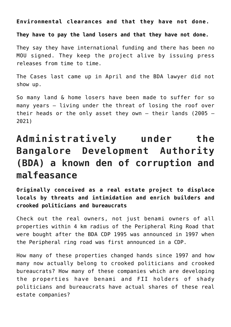**Environmental clearances and that they have not done.**

**They have to pay the land losers and that they have not done.**

They say they have international funding and there has been no MOU signed. They keep the project alive by issuing press releases from time to time.

The Cases last came up in April and the BDA lawyer did not show up.

So many land & home losers have been made to suffer for so many years – living under the threat of losing the roof over their heads or the only asset they own – their lands (2005 – 2021)

## **Administratively under the Bangalore Development Authority (BDA) a known den of corruption and malfeasance**

**Originally conceived as a real estate project to displace locals by threats and intimidation and enrich builders and crooked politicians and bureaucrats**

Check out the real owners, not just benami owners of all properties within 4 km radius of the Peripheral Ring Road that were bought after the BDA CDP 1995 was announced in 1997 when the Peripheral ring road was first announced in a CDP.

How many of these properties changed hands since 1997 and how many now actually belong to crooked politicians and crooked bureaucrats? How many of these companies which are developing the properties have benami and FII holders of shady politicians and bureaucrats have actual shares of these real estate companies?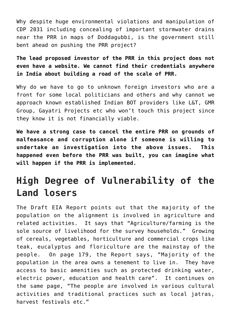Why despite huge environmental violations and manipulation of CDP 2031 including concealing of important stormwater drains near the PRR in maps of Doddagubbi, is the government still bent ahead on pushing the PRR project?

**The lead proposed investor of the PRR in this project does not even have a website. We cannot find their credentials anywhere in India about building a road of the scale of PRR.** 

Why do we have to go to unknown foreign investors who are a front for some local politicians and others and why cannot we approach known established Indian BOT providers like L&T, GMR Group, Gayatri Projects etc who won't touch this project since they know it is not financially viable.

**We have a strong case to cancel the entire PRR on grounds of malfeasance and corruption alone if someone is willing to undertake an investigation into the above issues. This happened even before the PRR was built, you can imagine what will happen if the PRR is implemented.**

#### **High Degree of Vulnerability of the Land losers**

The Draft EIA Report points out that the majority of the population on the alignment is involved in agriculture and related activities. It says that "Agriculture/farming is the sole source of livelihood for the survey households." Growing of cereals, vegetables, horticulture and commercial crops like teak, eucalyptus and floriculture are the mainstay of the people. On page 179, the Report says, "Majority of the population in the area owns a tenement to live in. They have access to basic amenities such as protected drinking water, electric power, education and health care". It continues on the same page, "The people are involved in various cultural activities and traditional practices such as local jatras, harvest festivals etc."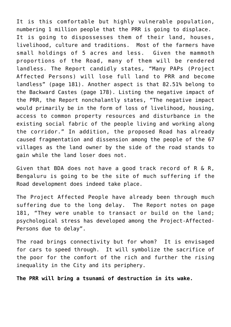It is this comfortable but highly vulnerable population, numbering 1 million people that the PRR is going to displace. It is going to dispossesses them of their land, houses, livelihood, culture and traditions. Most of the farmers have small holdings of 5 acres and less. Given the mammoth proportions of the Road, many of them will be rendered landless. The Report candidly states, "Many PAPs (Project Affected Persons) will lose full land to PRR and become landless" (page 181). Another aspect is that 82.51% belong to the Backward Castes (page 178). Listing the negative impact of the PRR, the Report nonchalantly states, "The negative impact would primarily be in the form of loss of livelihood, housing, access to common property resources and disturbance in the existing social fabric of the people living and working along the corridor." In addition, the proposed Road has already caused fragmentation and dissension among the people of the 67 villages as the land owner by the side of the road stands to gain while the land loser does not.

Given that BDA does not have a good track record of R & R, Bengaluru is going to be the site of much suffering if the Road development does indeed take place.

The Project Affected People have already been through much suffering due to the long delay. The Report notes on page 181, "They were unable to transact or build on the land; psychological stress has developed among the Project-Affected-Persons due to delay".

The road brings connectivity but for whom? It is envisaged for cars to speed through. It will symbolize the sacrifice of the poor for the comfort of the rich and further the rising inequality in the City and its periphery.

**The PRR will bring a tsunami of destruction in its wake.**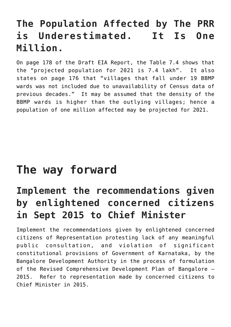## **The Population Affected by The PRR is Underestimated. It Is One Million.**

On page 178 of the Draft EIA Report, the Table 7.4 shows that the "projected population for 2021 is 7.4 lakh". It also states on page 176 that "villages that fall under 19 BBMP wards was not included due to unavailability of Census data of previous decades." It may be assumed that the density of the BBMP wards is higher than the outlying villages; hence a population of one million affected may be projected for 2021.

## **The way forward**

## **Implement the recommendations given by enlightened concerned citizens in Sept 2015 to Chief Minister**

Implement the recommendations given by enlightened concerned citizens of Representation protesting lack of any meaningful public consultation, and violation of significant constitutional provisions of Government of Karnataka, by the Bangalore Development Authority in the process of formulation of the Revised Comprehensive Development Plan of Bangalore – 2015. Refer to [representation made by concerned citizens to](https://drive.google.com/file/d/1DmdYwCaSHp0jgoX3rHvZ9fR0p-qp_OiO/view?usp=sharing) [Chief Minister in 2015](https://drive.google.com/file/d/1DmdYwCaSHp0jgoX3rHvZ9fR0p-qp_OiO/view?usp=sharing).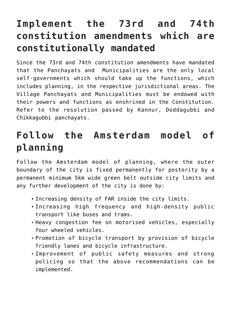## **Implement the 73rd and 74th constitution amendments which are constitutionally mandated**

Since the 73rd and 74th constitution amendments have mandated that the Panchayats and Municipalities are the only local self-governments which should take up the functions, which includes planning, in the respective jurisdictional areas. The Village Panchayats and Municipalities must be endowed with their powers and functions as enshrined in the Constitution. [Refer to the resolution passed by Kannur, Doddagubbi and](https://drive.google.com/file/d/1DXWlIu3naRJnSxSBuXabbArJKuc8r5us/view?usp=sharing) [Chikkagubbi panchayats](https://drive.google.com/file/d/1DXWlIu3naRJnSxSBuXabbArJKuc8r5us/view?usp=sharing).

### **Follow the Amsterdam model of planning**

Follow the Amsterdam model of planning, where the outer boundary of the city is fixed permanently for posterity by a permanent minimum 5km wide green belt outside city limits and any further development of the city is done by:

- Increasing density of FAR inside the city limits.
- Increasing high frequency and high-density public transport like buses and trams.
- Heavy congestion fee on motorised vehicles, especially four wheeled vehicles.
- Promotion of bicycle transport by provision of bicycle friendly lanes and bicycle infrastructure.
- Improvement of public safety measures and strong policing so that the above recommendations can be implemented.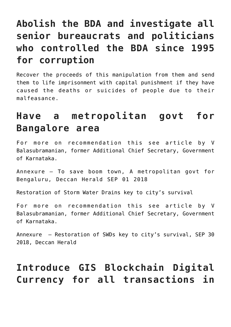## **Abolish the BDA and investigate all senior bureaucrats and politicians who controlled the BDA since 1995 for corruption**

Recover the proceeds of this manipulation from them and send them to life imprisonment with capital punishment if they have caused the deaths or suicides of people due to their malfeasance.

#### **Have a metropolitan govt for Bangalore area**

For more on recommendation this see article by V Balasubramanian, former Additional Chief Secretary, Government of Karnataka.

[Annexure –](https://drive.google.com/file/d/1DotrnGFnMbh1NcNGcMcTgPzTK7Mu_1eb/view?usp=sharing) [To save boom town, A metropolitan govt for](https://www.deccanherald.com/opinion/main-article/save-boom-town-690486.html) [Bengaluru, Deccan Herald SEP 01 2018](https://www.deccanherald.com/opinion/main-article/save-boom-town-690486.html)

Restoration of Storm Water Drains key to city's survival

For more on recommendation this see article by V Balasubramanian, former Additional Chief Secretary, Government of Karnataka.

[Annexure –](https://drive.google.com/file/d/1DpkPiDeQqUmNY7GkdY72IJD_H0eOePd2/view?usp=sharing) [Restoration of SWDs key to city's survival, SEP 30](https://www.deccanherald.com/city/restoration-swds-key-city-s-695367.html) [2018, Deccan Herald](https://www.deccanherald.com/city/restoration-swds-key-city-s-695367.html)

## **Introduce GIS Blockchain Digital Currency for all transactions in**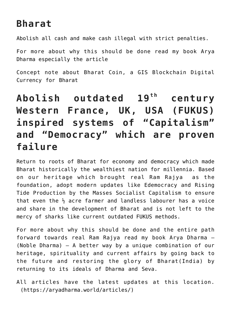#### **Bharat**

Abolish all cash and make cash illegal with strict penalties.

For more about why this should be done read my book [Arya](https://aryadharma.world/index/buy-book-ebook/) [Dharma](https://aryadharma.world/index/buy-book-ebook/) especially the article

[Concept note about Bharat Coin, a GIS Blockchain Digital](https://aryadharma.world/concepts/concept-note-about-bharat-coin-a-gis-blockchain-digital-currency-for-bharat/) [Currency for Bharat](https://aryadharma.world/concepts/concept-note-about-bharat-coin-a-gis-blockchain-digital-currency-for-bharat/)

## Abolish outdated 19<sup>th</sup> century **Western France, UK, USA (FUKUS) inspired systems of "Capitalism" and "Democracy" which are proven failure**

Return to roots of Bharat for economy and democracy which made Bharat historically the wealthiest nation for millennia. Based on our heritage which brought [real Ram Rajya](https://aryadharma.world/vedasandupanishads/ram-rajya-the-heavenly-rule-of-ram/) as the foundation, adopt modern updates like [Edemocracy](https://aryadharma.world/laws/details-of-the-law/law-administration/edemocracy/) and [Rising](https://aryadharma.world/concepts/thestate/rising-tide-production-by-the-masses-socialist-capitalism/) [Tide Production by the Masses Socialist Capitalism](https://aryadharma.world/concepts/thestate/rising-tide-production-by-the-masses-socialist-capitalism/) to ensure that even the  $\frac{1}{2}$  acre farmer and landless labourer has a voice and share in the development of Bharat and is not left to the mercy of sharks like current outdated [FUKUS](https://aryadharma.world/fukus/) methods.

For more about why this should be done and the entire path forward towards [real Ram Rajya](https://aryadharma.world/vedasandupanishads/ram-rajya-the-heavenly-rule-of-ram/) read my book [Arya Dharma](https://aryadharma.world/index/buy-book-ebook/) – (Noble Dharma) – A better way by a unique combination of our heritage, spirituality and current affairs by going back to the future and restoring the glory of [Bharat\(India\)](https://aryadharma.world/bharat/) by returning to its ideals of [Dharma](https://aryadharma.world/vedasandupanishads/dharma/) and Seva.

All articles have the latest updates [at this location.](https://aryadharma.world/articles/) (<https://aryadharma.world/articles/>)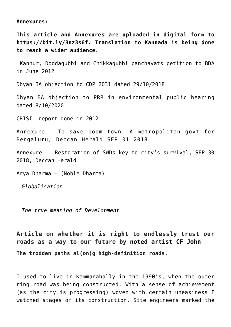**Annexures:**

**This article and Annexures are uploaded in digital form to [https://bit.ly/3nz3s6f.](https://bit.ly/3nz3s6f) Translation to Kannada is being done to reach a wider audience.**

 [Kannur, Doddagubbi and Chikkagubbi panchayats petition to BDA](https://drive.google.com/file/d/1DXWlIu3naRJnSxSBuXabbArJKuc8r5us/view?usp=sharing) [in June 2012](https://drive.google.com/file/d/1DXWlIu3naRJnSxSBuXabbArJKuc8r5us/view?usp=sharing)

[Dhyan BA objection to CDP 2031 dated 29/10/2018](https://drive.google.com/file/d/1DmyPshZASYt614HH082ExEGI5iReLFIc/view?usp=sharing)

[Dhyan BA objection to PRR in environmental public hearing](https://drive.google.com/file/d/1DoBGWBA_NK4yGXYW8AiLlWjN7ppgmEiZ/view?usp=sharing) [dated 8/10/2020](https://drive.google.com/file/d/1DoBGWBA_NK4yGXYW8AiLlWjN7ppgmEiZ/view?usp=sharing)

[CRISIL report done in 2012](https://drive.google.com/file/d/12RTl6_qsVUQbU-JYJHc4vLa4tp1W1Hnn/view?usp=sharing)

[Annexure –](https://drive.google.com/file/d/1DotrnGFnMbh1NcNGcMcTgPzTK7Mu_1eb/view?usp=sharing) [To save boom town, A metropolitan govt for](https://www.deccanherald.com/opinion/main-article/save-boom-town-690486.html) [Bengaluru, Deccan Herald SEP 01 2018](https://www.deccanherald.com/opinion/main-article/save-boom-town-690486.html)

[Annexure –](https://drive.google.com/file/d/1DpkPiDeQqUmNY7GkdY72IJD_H0eOePd2/view?usp=sharing) [Restoration of SWDs key to city's survival, SEP 30](https://www.deccanherald.com/city/restoration-swds-key-city-s-695367.html) [2018, Deccan Herald](https://www.deccanherald.com/city/restoration-swds-key-city-s-695367.html)

[Arya Dharma](https://aryadharma.world/index/buy-book-ebook/) – (Noble Dharma)

*[Globalisation](https://aryadharma.world/fukus/globalisation/)*

*[The true meaning of Development](https://aryadharma.world/articles/the-true-meaning-of-development/)*

**Article on whether it is right to endlessly trust our roads as a way to our future by [noted artist CF John](https://cfjohn.com/)**

**The trodden paths al(on)g high-definition roads.**

I used to live in Kammanahally in the 1990's, when the outer ring road was being constructed. With a sense of achievement (as the city is progressing) woven with certain uneasiness I watched stages of its construction. Site engineers marked the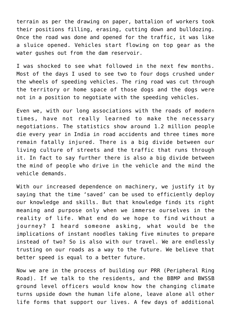terrain as per the drawing on paper, battalion of workers took their positions filling, erasing, cutting down and bulldozing. Once the road was done and opened for the traffic, it was like a sluice opened. Vehicles start flowing on top gear as the water gushes out from the dam reservoir.

I was shocked to see what followed in the next few months. Most of the days I used to see two to four dogs crushed under the wheels of speeding vehicles. The ring road was cut through the territory or home space of those dogs and the dogs were not in a position to negotiate with the speeding vehicles.

Even we, with our long associations with the roads of modern times, have not really learned to make the necessary negotiations. The statistics show around 1.2 million people die every year in India in road accidents and three times more remain fatally injured. There is a big divide between our living culture of streets and the traffic that runs through it. In fact to say further there is also a big divide between the mind of people who drive in the vehicle and the mind the vehicle demands.

With our increased dependence on machinery, we justify it by saying that the time 'saved' can be used to efficiently deploy our knowledge and skills. But that knowledge finds its right meaning and purpose only when we immerse ourselves in the reality of life. What end do we hope to find without a journey? I heard someone asking, what would be the implications of instant noodles taking five minutes to prepare instead of two? So is also with our travel. We are endlessly trusting on our roads as a way to the future. We believe that better speed is equal to a better future.

Now we are in the process of building our PRR (Peripheral Ring Road). If we talk to the residents, and the BBMP and BWSSB ground level officers would know how the changing climate turns upside down the human life alone, leave alone all other life forms that support our lives. A few days of additional